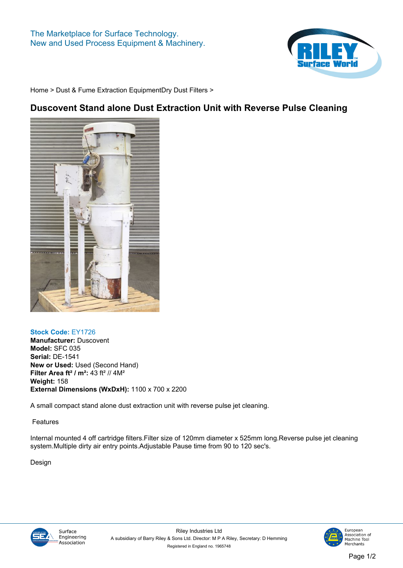

**[Home](https://www.rileysurfaceworld.co.uk) > [Dust & Fume Extraction Equipment](https://www.rileysurfaceworld.co.uk/dust-fume.asp)[Dry Dust Filters](https://www.rileysurfaceworld.co.uk/dust-dry.asp) >**

## **Duscovent Stand alone Dust Extraction Unit with Reverse Pulse Cleaning**



## **Stock Code: EY1726**

**Manufacturer: Duscovent Model: SFC 035 Serial: DE-1541 New or Used: Used (Second Hand) Filter Area ft² / m²: 43 ft² // 4M² Weight: 158 External Dimensions (WxDxH): 1100 x 700 x 2200**

**A small compact stand alone dust extraction unit with reverse pulse jet cleaning.**

**Features**

**Internal mounted 4 off cartridge filters.Filter size of 120mm diameter x 525mm long.Reverse pulse jet cleaning system.Multiple dirty air entry points.Adjustable Pause time from 90 to 120 sec's.**

**Design**